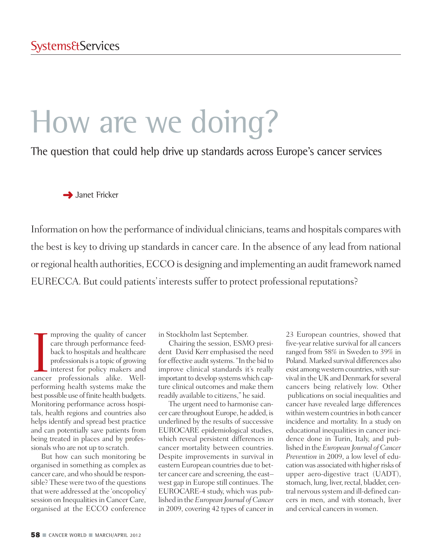# How are we doing?

The question that could help drive up standards across Europe's cancer services

**→** Janet Fricker

Information on how the performance of individual clinicians, teams and hospitals compares with the best is key to driving up standards in cancer care. In the absence of any lead from national or regional health authorities, ECCO is designing and implementing an audit framework named EURECCA. But could patients' interests suffer to protect professional reputations?

mproving the quality of cancer<br>care through performance feed-<br>back to hospitals and healthcare<br>professionals is a topic of growing<br>interest for policy makers and<br>cancer professionals alike. Wellmproving the quality of cancer care through performance feedback to hospitals and healthcare professionals is a topic of growing interest for policy makers and performing health systems make the best possible use of finite health budgets. Monitoring performance across hospitals, health regions and countries also helps identify and spread best practice and can potentially save patients from being treated in places and by professionals who are not up to scratch.

But how can such monitoring be organised in something as complex as cancer care, and who should be responsible? These were two of the questions that were addressed at the 'oncopolicy' session on Inequalities in Cancer Care, organised at the ECCO conference

in Stockholm last September.

Chairing the session, ESMO president David Kerr emphasised the need for effective audit systems. "In the bid to improve clinical standards it's really important to develop systems which capture clinical outcomes and make them readily available to citizens," he said.

The urgent need to harmonise cancer care throughout Europe, he added, is underlined by the results of successive EUROCARE epidemiological studies, which reveal persistent differences in cancer mortality between countries. Despite improvements in survival in eastern European countries due to better cancer care and screening, the east– west gap in Europe still continues. The EUROCARE-4 study, which was published in the*European Journal of Cancer* in 2009, covering 42 types of cancer in

23 European countries, showed that five-year relative survival for all cancers ranged from 58% in Sweden to 39% in Poland. Marked survival differences also exist among western countries, with survival in the UKand Denmark forseveral cancers being relatively low. Other publications on social inequalities and cancer have revealed large differences within western countries in both cancer incidence and mortality. In a study on educational inequalities in cancer incidence done in Turin, Italy, and published in the*European Journal of Cancer Prevention* in 2009, a low level of education was associated with higher risks of upper aero-digestive tract (UADT), stomach, lung, liver, rectal, bladder, central nervous system and ill-defined cancers in men, and with stomach, liver and cervical cancers in women.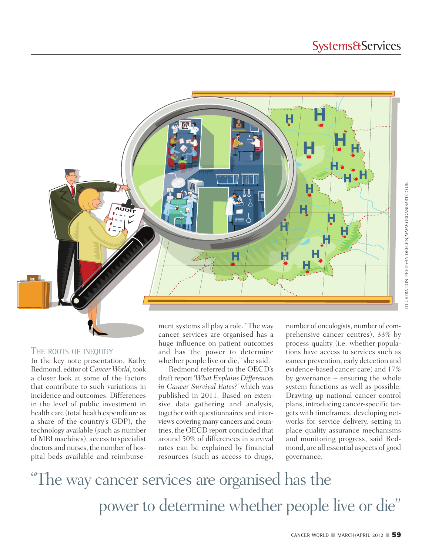

#### THE ROOTS OF INEQUITY

In the key note presentation, Kathy Redmond, editor of *Cancer World*, took a closer look at some of the factors that contribute to such variations in incidence and outcomes. Differences in the level of public investment in health care (total health expenditure as a share of the country's GDP), the technology available (such as number of MRI machines), accessto specialist doctors and nurses, the number of hospital beds available and reimbursement systems all play a role. "The way cancer services are organised has a huge influence on patient outcomes and has the power to determine whether people live or die," she said.

Redmond referred to the OECD's draft report '*What Explains Differences in Cancer Survival Rates?'* which was published in 2011. Based on extensive data gathering and analysis, together with questionnaires and interviews covering many cancers and countries, the OECD report concluded that around 50% of differences in survival rates can be explained by financial resources (such as access to drugs,

number of oncologists, number of comprehensive cancer centres), 33% by process quality (i.e. whether populations have access to services such as cancer prevention, early detection and evidence-based cancer care) and 17% by governance – ensuring the whole system functions as well as possible. Drawing up national cancer control plans, introducing cancer-specific targets with timeframes, developing networks for service delivery, setting in place quality assurance mechanisms and monitoring progress, said Redmond, are all essential aspects of good governance.

"The way cancer services are organised has the power to determine whether people live or die "

LLUSTRATION: FRED VAN DEELEN, WWW.ORGANISART.CO.UK ILLUSTRATION: FRED VAN DEELEN, WWW.ORGANISART.CO.UK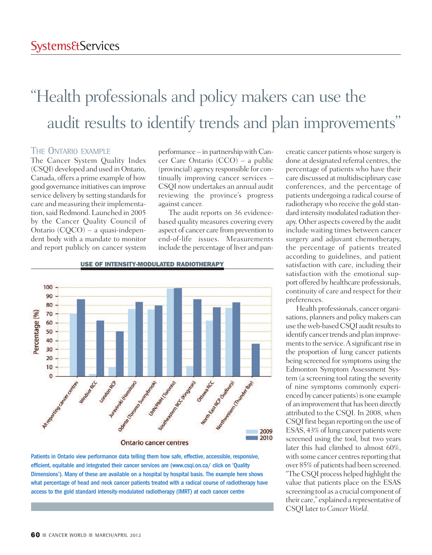## "Health professionals and policy makers can use the audit results to identify trends and plan improvements "

#### THE ONTARIO EXAMPLE

The Cancer System Quality Index (CSQI) developed and used in Ontario, Canada, offers a prime example of how good governance initiatives can improve service delivery by setting standards for care and measuring their implementation, said Redmond. Launched in 2005 by the Cancer Quality Council of Ontario (CQCO) – a quasi-independent body with a mandate to monitor and report publicly on cancer system

performance – in partnershipwith Cancer Care Ontario (CCO) – a public (provincial) agency responsible for continually improving cancer services – CSQI now undertakes an annual audit reviewing the province's progress against cancer.

The audit reports on 36 evidencebased quality measures covering every aspect of cancer care from prevention to end-of-life issues. Measurements include the percentage of liver and pan-



Patients in Ontario view performance data telling them how safe, effective, accessible, responsive, efficient, equitable and integrated their cancer services are (www.csqi.on.ca/ click on 'Quality Dimensions'). Many of these are available on a hospital by hospital basis. The example here shows what percentage of head and neck cancer patients treated with a radical course of radiotherapy have access to the gold standard intensity-modulated radiotherapy (IMRT) at each cancer centre

creatic cancer patientswhose surgery is done at designated referral centres, the percentage of patients who have their care discussed at multidisciplinary case conferences, and the percentage of patients undergoing a radical course of radiotherapy who receive the gold standard intensity modulated radiation therapy. Other aspects covered by the audit include waiting times between cancer surgery and adjuvant chemotherapy, the percentage of patients treated according to guidelines, and patient satisfaction with care, including their satisfaction with the emotional support offered by healthcare professionals, continuity of care and respect for their preferences.

Health professionals, cancer organisations, planners and policy makers can use the web-based CSQI audit results to identify cancer trends and plan improvements to the service. A significant rise in the proportion of lung cancer patients being screened for symptoms using the Edmonton Symptom Assessment System (a screening tool rating the severity of nine symptoms commonly experienced by cancer patients) is one example of an improvement that has been directly attributed to the CSQI. In 2008, when CSQIfirst began reporting on the use of ESAS, 43% of lung cancer patients were screened using the tool, but two years later this had climbed to almost 60%, with some cancer centres reporting that over 85% of patients had been screened. "The CSQI process helped highlight the value that patients place on the ESAS screening tool as a crucial component of their care," explained a representative of CSQI later to *Cancer World*.

#### **USE OF INTENSITY-MODULATED RADIOTHERAPY**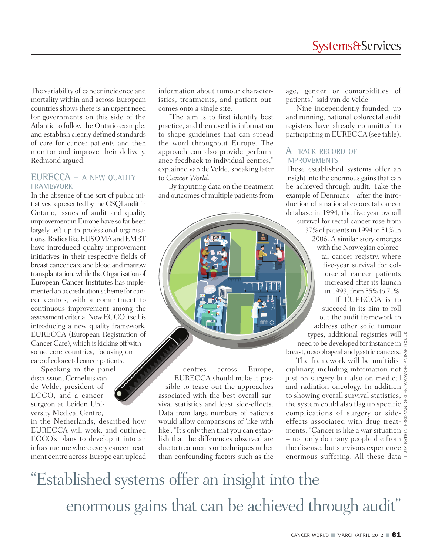The variability of cancer incidence and mortality within and across European countries shows there is an urgent need for governments on this side of the Atlantic to follow the Ontario example, and establish clearly defined standards of care for cancer patients and then monitor and improve their delivery, Redmond argued.

#### EURECCA – A NEW QUALITY FRAMEWORK

In the absence of the sort of public initiatives represented by the CSQI audit in Ontario, issues of audit and quality improvement in Europe have so far been largely left up to professional organisations. Bodies like EUSOMA and EMBT have introduced quality improvement initiatives in their respective fields of breast cancer care and blood and marrow transplantation, while the Organisation of European Cancer Institutes has implemented an accreditation scheme for cancer centres, with a commitment to continuous improvement among the assessment criteria. Now ECCO itself is introducing a new quality framework, EURECCA (European Registration of Cancer Care), which is kicking off with some core countries, focusing on care of colorectal cancer patients.

Speaking in the panel discussion, Cornelius van de Velde, president of ECCO, and a cancer surgeon at Leiden University Medical Centre,

in the Netherlands, described how EURECCA will work, and outlined ECCO's plans to develop it into an infrastructure where every cancer treatment centre across Europe can upload

information about tumour characteristics, treatments, and patient outcomes onto a single site.

"The aim is to first identify best practice, and then use thisinformation to shape guidelines that can spread the word throughout Europe. The approach can also provide performance feedback to individual centres," explained van de Velde, speaking later to *Cancer World*.

By inputting data on the treatment and outcomes of multiple patients from

centres across Europe, EURECCA should make it possible to tease out the approaches associated with the best overall survival statistics and least side-effects. Data from large numbers of patients would allow comparisons of 'like with like'. "It's only then that you can establish that the differences observed are due to treatments or techniques rather than confounding factors such as the

age, gender or comorbidities of patients," said van de Velde.

Nine independently founded, up and running, national colorectal audit registers have already committed to participating in EURECCA (see table).

#### A TRACK RECORD OF **IMPROVEMENTS**

These established systems offer an insight into the enormous gains that can be achieved through audit. Take the example of Denmark – after the introduction of a national colorectal cancer database in 1994, the five-year overall survival for rectal cancer rose from

37% of patientsin 1994 to 51% in 2006. A similar story emerges with the Norwegian colorectal cancer registry, where five-year survival for colorectal cancer patients increased after its launch in 1993, from  $55\%$  to  $71\%$ . If EURECCA is to

succeed in its aim to roll out the audit framework to address other solid tumour types, additional registries will need to be developed for instance in

breast, oesophageal and gastric cancers. The framework will be multidisciplinary, including information not just on surgery but also on medical and radiation oncology. In addition to showing overall survival statistics, the system could also flag up specific complications of surgery or sideeffects associated with drug treatments. "Cancer is like a war situation  $\ddot{\tilde{z}}$ – not only do many people die from  $\frac{1}{2}$ the disease, but survivors experience enormous suffering. All these data  $\exists$ 

# "Established systems offer an insight into the enormous gains that can be achieved through audit"